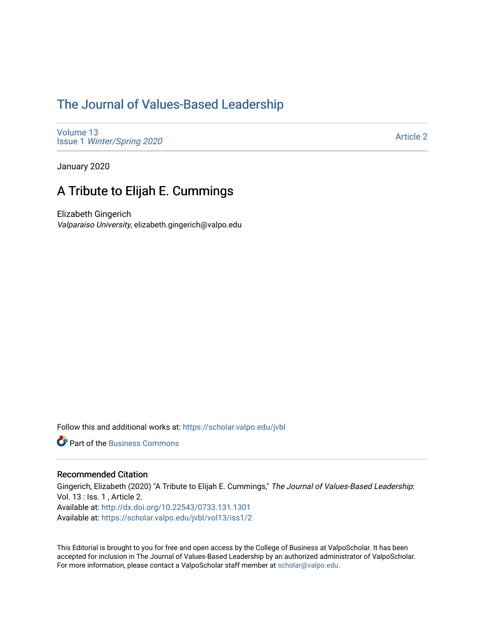# [The Journal of Values-Based Leadership](https://scholar.valpo.edu/jvbl)

[Volume 13](https://scholar.valpo.edu/jvbl/vol13) Issue 1 [Winter/Spring 2020](https://scholar.valpo.edu/jvbl/vol13/iss1) 

[Article 2](https://scholar.valpo.edu/jvbl/vol13/iss1/2) 

January 2020

# A Tribute to Elijah E. Cummings

Elizabeth Gingerich Valparaiso University, elizabeth.gingerich@valpo.edu

Follow this and additional works at: [https://scholar.valpo.edu/jvbl](https://scholar.valpo.edu/jvbl?utm_source=scholar.valpo.edu%2Fjvbl%2Fvol13%2Fiss1%2F2&utm_medium=PDF&utm_campaign=PDFCoverPages) 

**P** Part of the [Business Commons](http://network.bepress.com/hgg/discipline/622?utm_source=scholar.valpo.edu%2Fjvbl%2Fvol13%2Fiss1%2F2&utm_medium=PDF&utm_campaign=PDFCoverPages)

#### Recommended Citation

Gingerich, Elizabeth (2020) "A Tribute to Elijah E. Cummings," The Journal of Values-Based Leadership: Vol. 13 : Iss. 1 , Article 2. Available at:<http://dx.doi.org/10.22543/0733.131.1301> Available at: [https://scholar.valpo.edu/jvbl/vol13/iss1/2](https://scholar.valpo.edu/jvbl/vol13/iss1/2?utm_source=scholar.valpo.edu%2Fjvbl%2Fvol13%2Fiss1%2F2&utm_medium=PDF&utm_campaign=PDFCoverPages)

This Editorial is brought to you for free and open access by the College of Business at ValpoScholar. It has been accepted for inclusion in The Journal of Values-Based Leadership by an authorized administrator of ValpoScholar. For more information, please contact a ValpoScholar staff member at [scholar@valpo.edu](mailto:scholar@valpo.edu).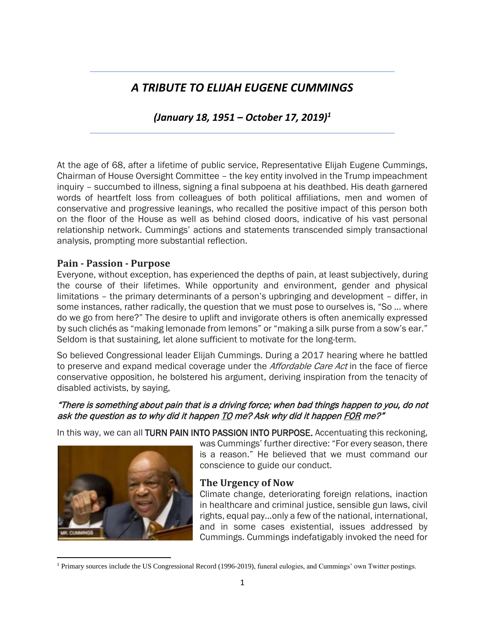# *A TRIBUTE TO ELIJAH EUGENE CUMMINGS*

*(January 18, 1951 – October 17, 2019)<sup>1</sup>*

At the age of 68, after a lifetime of public service, Representative Elijah Eugene Cummings, Chairman of House Oversight Committee – the key entity involved in the Trump impeachment inquiry – succumbed to illness, signing a final subpoena at his deathbed. His death garnered words of heartfelt loss from colleagues of both political affiliations, men and women of conservative and progressive leanings, who recalled the positive impact of this person both on the floor of the House as well as behind closed doors, indicative of his vast personal relationship network. Cummings' actions and statements transcended simply transactional analysis, prompting more substantial reflection.

#### **Pain - Passion - Purpose**

Everyone, without exception, has experienced the depths of pain, at least subjectively, during the course of their lifetimes. While opportunity and environment, gender and physical limitations – the primary determinants of a person's upbringing and development – differ, in some instances, rather radically, the question that we must pose to ourselves is, "So … where do we go from here?" The desire to uplift and invigorate others is often anemically expressed by such clichés as "making lemonade from lemons" or "making a silk purse from a sow's ear." Seldom is that sustaining, let alone sufficient to motivate for the long-term.

So believed Congressional leader Elijah Cummings. During a 2017 hearing where he battled to preserve and expand medical coverage under the *Affordable Care Act* in the face of fierce conservative opposition, he bolstered his argument, deriving inspiration from the tenacity of disabled activists, by saying,

### "There is something about pain that is a driving force; when bad things happen to you, do not ask the question as to why did it happen TO me? Ask why did it happen FOR me?"

In this way, we can all TURN PAIN INTO PASSION INTO PURPOSE. Accentuating this reckoning,



was Cummings' further directive: "For every season, there is a reason." He believed that we must command our conscience to guide our conduct.

# **The Urgency of Now**

Climate change, deteriorating foreign relations, inaction in healthcare and criminal justice, sensible gun laws, civil rights, equal pay…only a few of the national, international, and in some cases existential, issues addressed by Cummings. Cummings indefatigably invoked the need for

<sup>1</sup> Primary sources include the US Congressional Record (1996-2019), funeral eulogies, and Cummings' own Twitter postings.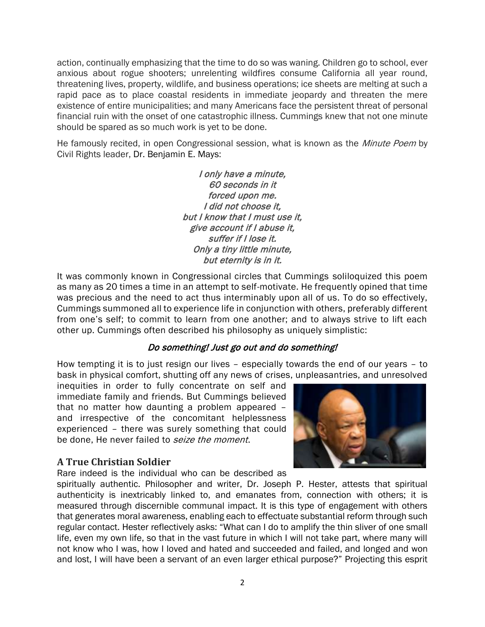action, continually emphasizing that the time to do so was waning. Children go to school, ever anxious about rogue shooters; unrelenting wildfires consume California all year round, threatening lives, property, wildlife, and business operations; ice sheets are melting at such a rapid pace as to place coastal residents in immediate jeopardy and threaten the mere existence of entire municipalities; and many Americans face the persistent threat of personal financial ruin with the onset of one catastrophic illness. Cummings knew that not one minute should be spared as so much work is yet to be done.

He famously recited, in open Congressional session, what is known as the Minute Poem by Civil Rights leader, Dr. Benjamin E. Mays:

> I only have a minute, 60 seconds in it forced upon me. I did not choose it, but I know that I must use it, give account if I abuse it, suffer if I lose it. Only a tiny little minute, but eternity is in it.

It was commonly known in Congressional circles that Cummings soliloquized this poem as many as 20 times a time in an attempt to self-motivate. He frequently opined that time was precious and the need to act thus interminably upon all of us. To do so effectively, Cummings summoned all to experience life in conjunction with others, preferably different from one's self; to commit to learn from one another; and to always strive to lift each other up. Cummings often described his philosophy as uniquely simplistic:

# Do something! Just go out and do something!

How tempting it is to just resign our lives – especially towards the end of our years – to bask in physical comfort, shutting off any news of crises, unpleasantries, and unresolved

inequities in order to fully concentrate on self and immediate family and friends. But Cummings believed that no matter how daunting a problem appeared – and irrespective of the concomitant helplessness experienced – there was surely something that could be done, He never failed to seize the moment.

# **A True Christian Soldier**

Rare indeed is the individual who can be described as



spiritually authentic. Philosopher and writer, Dr. Joseph P. Hester, attests that spiritual authenticity is inextricably linked to, and emanates from, connection with others; it is measured through discernible communal impact. It is this type of engagement with others that generates moral awareness, enabling each to effectuate substantial reform through such regular contact. Hester reflectively asks: "What can I do to amplify the thin sliver of one small life, even my own life, so that in the vast future in which I will not take part, where many will not know who I was, how I loved and hated and succeeded and failed, and longed and won and lost, I will have been a servant of an even larger ethical purpose?" Projecting this esprit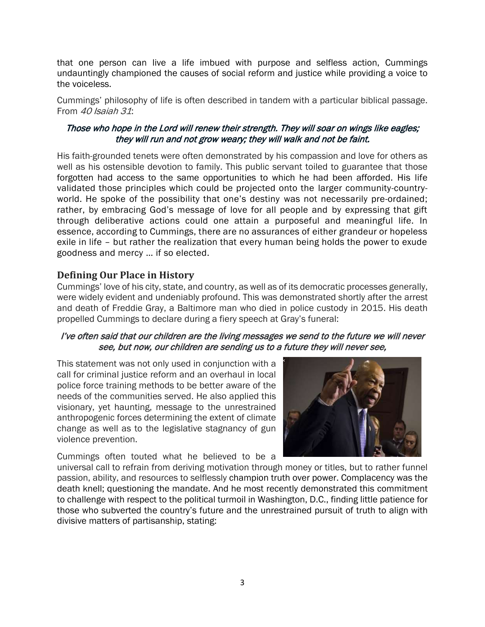that one person can live a life imbued with purpose and selfless action, Cummings undauntingly championed the causes of social reform and justice while providing a voice to the voiceless.

Cummings' philosophy of life is often described in tandem with a particular biblical passage. From  $40$  Isaiah 31:

#### Those who hope in the Lord will renew their strength. They will soar on wings like eagles; they will run and not grow weary; they will walk and not be faint.

His faith-grounded tenets were often demonstrated by his compassion and love for others as well as his ostensible devotion to family. This public servant toiled to guarantee that those forgotten had access to the same opportunities to which he had been afforded. His life validated those principles which could be projected onto the larger community-countryworld. He spoke of the possibility that one's destiny was not necessarily pre-ordained; rather, by embracing God's message of love for all people and by expressing that gift through deliberative actions could one attain a purposeful and meaningful life. In essence, according to Cummings, there are no assurances of either grandeur or hopeless exile in life – but rather the realization that every human being holds the power to exude goodness and mercy … if so elected.

### **Defining Our Place in History**

Cummings' love of his city, state, and country, as well as of its democratic processes generally, were widely evident and undeniably profound. This was demonstrated shortly after the arrest and death of Freddie Gray, a Baltimore man who died in police custody in 2015. His death propelled Cummings to declare during a fiery speech at Gray's funeral:

#### I've often said that our children are the living messages we send to the future we will never see, but now, our children are sending us to a future they will never see,

This statement was not only used in conjunction with a call for criminal justice reform and an overhaul in local police force training methods to be better aware of the needs of the communities served. He also applied this visionary, yet haunting, message to the unrestrained anthropogenic forces determining the extent of climate change as well as to the legislative stagnancy of gun violence prevention.

Cummings often touted what he believed to be a



universal call to refrain from deriving motivation through money or titles, but to rather funnel passion, ability, and resources to selflessly champion truth over power. Complacency was the death knell; questioning the mandate. And he most recently demonstrated this commitment to challenge with respect to the political turmoil in Washington, D.C., finding little patience for those who subverted the country's future and the unrestrained pursuit of truth to align with divisive matters of partisanship, stating: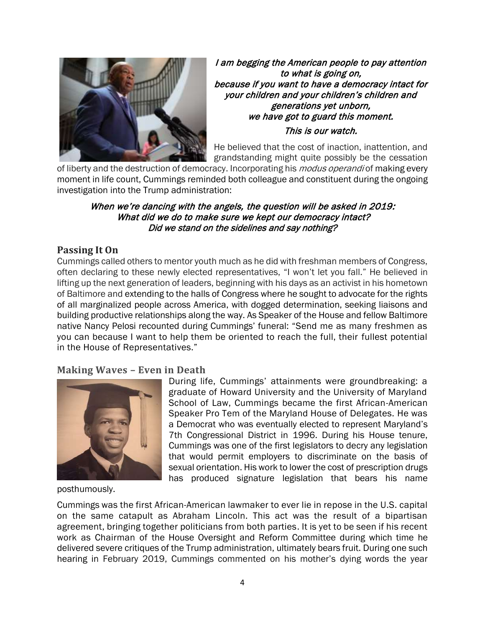

I am begging the American people to pay attention to what is going on, because if you want to have a democracy intact for your children and your children's children and generations yet unborn, we have got to guard this moment. This is our watch.

He believed that the cost of inaction, inattention, and grandstanding might quite possibly be the cessation

of liberty and the destruction of democracy. Incorporating his *modus operandi* of making every moment in life count, Cummings reminded both colleague and constituent during the ongoing investigation into the Trump administration:

#### When we're dancing with the angels, the question will be asked in 2019: What did we do to make sure we kept our democracy intact? Did we stand on the sidelines and say nothing?

# **Passing It On**

Cummings called others to mentor youth much as he did with freshman members of Congress, often declaring to these newly elected representatives, "I won't let you fall." He believed in lifting up the next generation of leaders, beginning with his days as an activist in his hometown of Baltimore and extending to the halls of Congress where he sought to advocate for the rights of all marginalized people across America, with dogged determination, seeking liaisons and building productive relationships along the way. As Speaker of the House and fellow Baltimore native Nancy Pelosi recounted during Cummings' funeral: "Send me as many freshmen as you can because I want to help them be oriented to reach the full, their fullest potential in the House of Representatives."

#### **Making Waves – Even in Death**



During life, Cummings' attainments were groundbreaking: a graduate of Howard University and the University of Maryland School of Law, Cummings became the first African-American Speaker Pro Tem of the Maryland House of Delegates. He was a Democrat who was eventually elected to represent Maryland's 7th Congressional District in 1996. During his House tenure, Cummings was one of the first legislators to decry any legislation that would permit employers to discriminate on the basis of sexual orientation. His work to lower the cost of prescription drugs has produced signature legislation that bears his name

posthumously.

Cummings was the first African-American lawmaker to ever lie in repose in the U.S. capital on the same catapult as Abraham Lincoln. This act was the result of a bipartisan agreement, bringing together politicians from both parties. It is yet to be seen if his recent work as Chairman of the House Oversight and Reform Committee during which time he delivered severe critiques of the Trump administration, ultimately bears fruit. During one such hearing in February 2019, Cummings commented on his mother's dying words the year